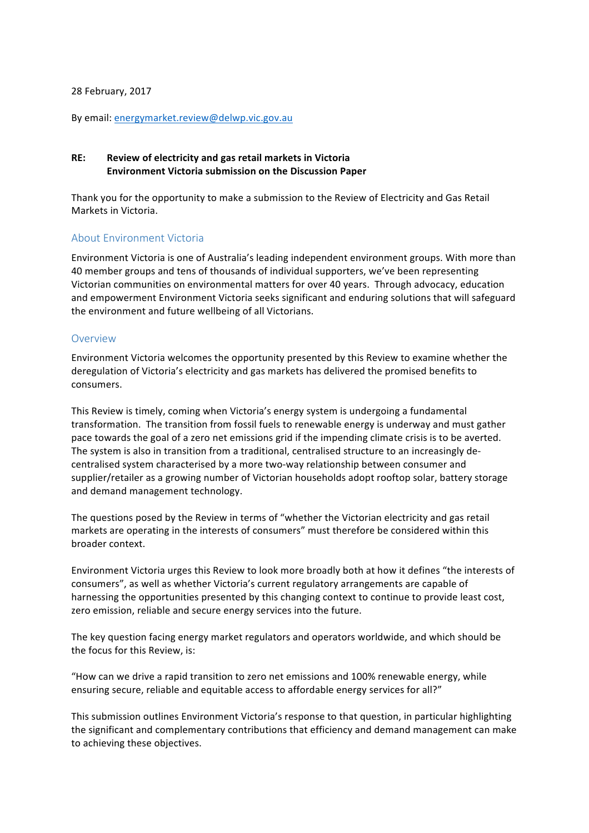#### 28 February, 2017

By email: energymarket.review@delwp.vic.gov.au

#### **RE: Review of electricity and gas retail markets in Victoria Environment Victoria submission on the Discussion Paper**

Thank you for the opportunity to make a submission to the Review of Electricity and Gas Retail Markets in Victoria.

#### About Environment Victoria

Environment Victoria is one of Australia's leading independent environment groups. With more than 40 member groups and tens of thousands of individual supporters, we've been representing Victorian communities on environmental matters for over 40 years. Through advocacy, education and empowerment Environment Victoria seeks significant and enduring solutions that will safeguard the environment and future wellbeing of all Victorians.

#### Overview

Environment Victoria welcomes the opportunity presented by this Review to examine whether the deregulation of Victoria's electricity and gas markets has delivered the promised benefits to consumers.

This Review is timely, coming when Victoria's energy system is undergoing a fundamental transformation. The transition from fossil fuels to renewable energy is underway and must gather pace towards the goal of a zero net emissions grid if the impending climate crisis is to be averted. The system is also in transition from a traditional, centralised structure to an increasingly decentralised system characterised by a more two-way relationship between consumer and supplier/retailer as a growing number of Victorian households adopt rooftop solar, battery storage and demand management technology.

The questions posed by the Review in terms of "whether the Victorian electricity and gas retail markets are operating in the interests of consumers" must therefore be considered within this broader context.

Environment Victoria urges this Review to look more broadly both at how it defines "the interests of consumers", as well as whether Victoria's current regulatory arrangements are capable of harnessing the opportunities presented by this changing context to continue to provide least cost, zero emission, reliable and secure energy services into the future.

The key question facing energy market regulators and operators worldwide, and which should be the focus for this Review, is:

"How can we drive a rapid transition to zero net emissions and 100% renewable energy, while ensuring secure, reliable and equitable access to affordable energy services for all?"

This submission outlines Environment Victoria's response to that question, in particular highlighting the significant and complementary contributions that efficiency and demand management can make to achieving these objectives.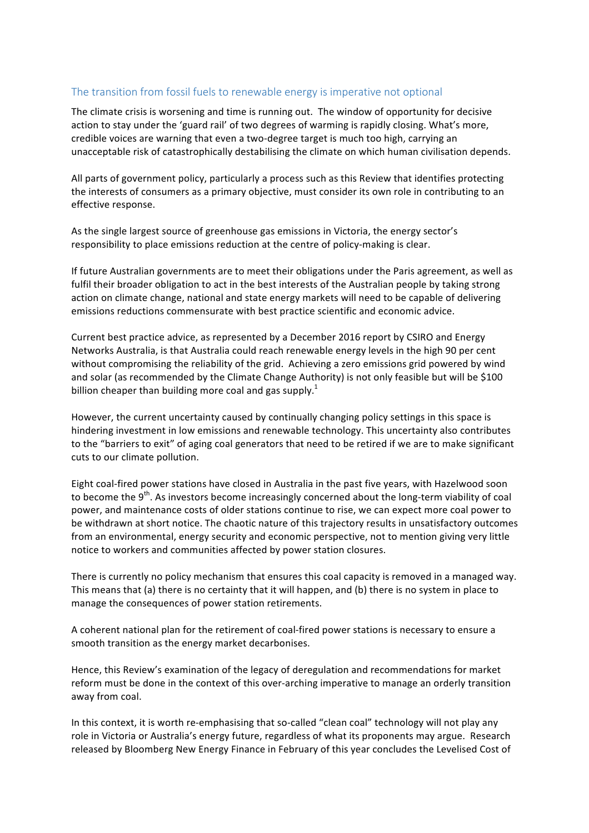#### The transition from fossil fuels to renewable energy is imperative not optional

The climate crisis is worsening and time is running out. The window of opportunity for decisive action to stay under the 'guard rail' of two degrees of warming is rapidly closing. What's more, credible voices are warning that even a two-degree target is much too high, carrying an unacceptable risk of catastrophically destabilising the climate on which human civilisation depends.

All parts of government policy, particularly a process such as this Review that identifies protecting the interests of consumers as a primary objective, must consider its own role in contributing to an effective response.

As the single largest source of greenhouse gas emissions in Victoria, the energy sector's responsibility to place emissions reduction at the centre of policy-making is clear.

If future Australian governments are to meet their obligations under the Paris agreement, as well as fulfil their broader obligation to act in the best interests of the Australian people by taking strong action on climate change, national and state energy markets will need to be capable of delivering emissions reductions commensurate with best practice scientific and economic advice.

Current best practice advice, as represented by a December 2016 report by CSIRO and Energy Networks Australia, is that Australia could reach renewable energy levels in the high 90 per cent without compromising the reliability of the grid. Achieving a zero emissions grid powered by wind and solar (as recommended by the Climate Change Authority) is not only feasible but will be \$100 billion cheaper than building more coal and gas supply.<sup>1</sup>

However, the current uncertainty caused by continually changing policy settings in this space is hindering investment in low emissions and renewable technology. This uncertainty also contributes to the "barriers to exit" of aging coal generators that need to be retired if we are to make significant cuts to our climate pollution.

Eight coal-fired power stations have closed in Australia in the past five years, with Hazelwood soon to become the  $9<sup>th</sup>$ . As investors become increasingly concerned about the long-term viability of coal power, and maintenance costs of older stations continue to rise, we can expect more coal power to be withdrawn at short notice. The chaotic nature of this trajectory results in unsatisfactory outcomes from an environmental, energy security and economic perspective, not to mention giving very little notice to workers and communities affected by power station closures.

There is currently no policy mechanism that ensures this coal capacity is removed in a managed way. This means that (a) there is no certainty that it will happen, and (b) there is no system in place to manage the consequences of power station retirements.

A coherent national plan for the retirement of coal-fired power stations is necessary to ensure a smooth transition as the energy market decarbonises.

Hence, this Review's examination of the legacy of deregulation and recommendations for market reform must be done in the context of this over-arching imperative to manage an orderly transition away from coal.

In this context, it is worth re-emphasising that so-called "clean coal" technology will not play any role in Victoria or Australia's energy future, regardless of what its proponents may argue. Research released by Bloomberg New Energy Finance in February of this year concludes the Levelised Cost of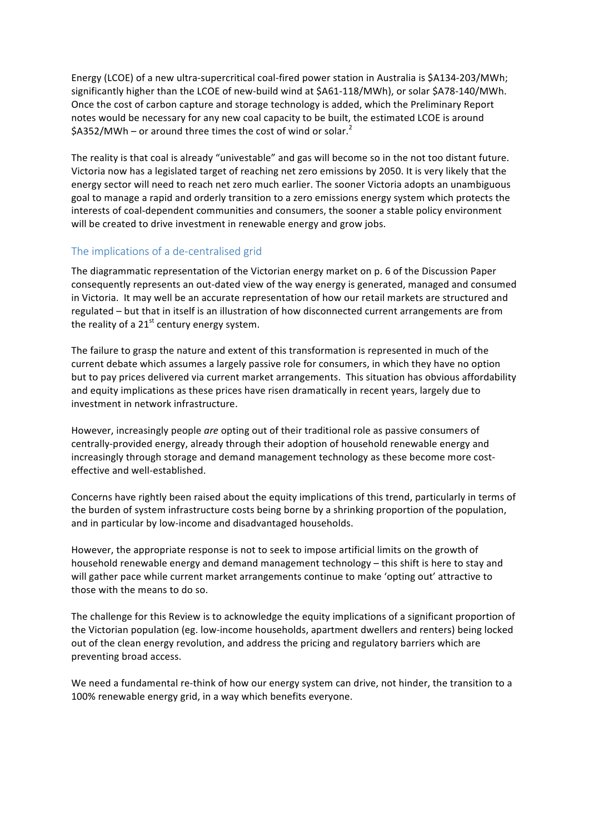Energy (LCOE) of a new ultra-supercritical coal-fired power station in Australia is \$A134-203/MWh; significantly higher than the LCOE of new-build wind at \$A61-118/MWh), or solar \$A78-140/MWh. Once the cost of carbon capture and storage technology is added, which the Preliminary Report notes would be necessary for any new coal capacity to be built, the estimated LCOE is around  $$A352/MWh$  – or around three times the cost of wind or solar.<sup>2</sup>

The reality is that coal is already "univestable" and gas will become so in the not too distant future. Victoria now has a legislated target of reaching net zero emissions by 2050. It is very likely that the energy sector will need to reach net zero much earlier. The sooner Victoria adopts an unambiguous goal to manage a rapid and orderly transition to a zero emissions energy system which protects the interests of coal-dependent communities and consumers, the sooner a stable policy environment will be created to drive investment in renewable energy and grow jobs.

## The implications of a de-centralised grid

The diagrammatic representation of the Victorian energy market on p. 6 of the Discussion Paper consequently represents an out-dated view of the way energy is generated, managed and consumed in Victoria. It may well be an accurate representation of how our retail markets are structured and regulated – but that in itself is an illustration of how disconnected current arrangements are from the reality of a  $21<sup>st</sup>$  century energy system.

The failure to grasp the nature and extent of this transformation is represented in much of the current debate which assumes a largely passive role for consumers, in which they have no option but to pay prices delivered via current market arrangements. This situation has obvious affordability and equity implications as these prices have risen dramatically in recent years, largely due to investment in network infrastructure.

However, increasingly people are opting out of their traditional role as passive consumers of centrally-provided energy, already through their adoption of household renewable energy and increasingly through storage and demand management technology as these become more costeffective and well-established.

Concerns have rightly been raised about the equity implications of this trend, particularly in terms of the burden of system infrastructure costs being borne by a shrinking proportion of the population, and in particular by low-income and disadvantaged households.

However, the appropriate response is not to seek to impose artificial limits on the growth of household renewable energy and demand management technology – this shift is here to stay and will gather pace while current market arrangements continue to make 'opting out' attractive to those with the means to do so.

The challenge for this Review is to acknowledge the equity implications of a significant proportion of the Victorian population (eg. low-income households, apartment dwellers and renters) being locked out of the clean energy revolution, and address the pricing and regulatory barriers which are preventing broad access.

We need a fundamental re-think of how our energy system can drive, not hinder, the transition to a 100% renewable energy grid, in a way which benefits everyone.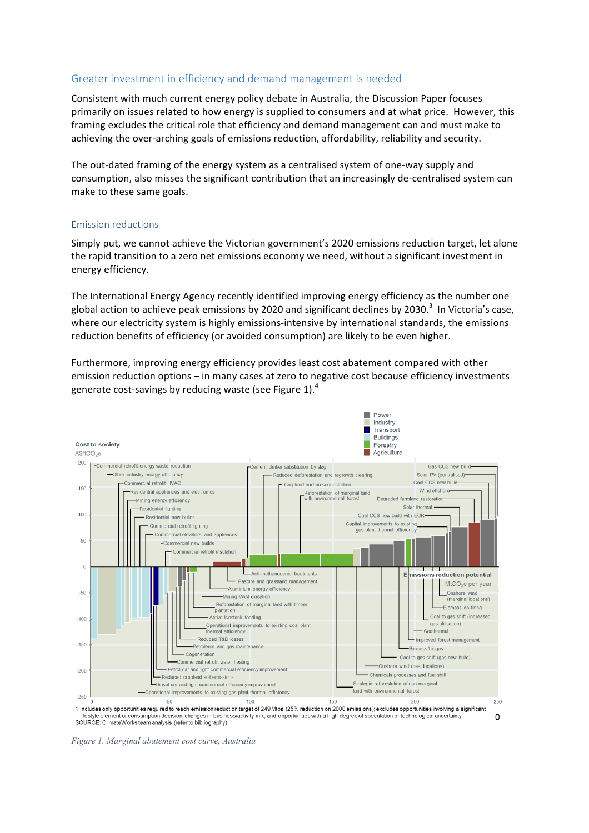## Greater investment in efficiency and demand management is needed

Consistent with much current energy policy debate in Australia, the Discussion Paper focuses primarily on issues related to how energy is supplied to consumers and at what price. However, this framing excludes the critical role that efficiency and demand management can and must make to achieving the over-arching goals of emissions reduction, affordability, reliability and security.

The out-dated framing of the energy system as a centralised system of one-way supply and consumption, also misses the significant contribution that an increasingly de-centralised system can make to these same goals.

#### Emission reductions

Simply put, we cannot achieve the Victorian government's 2020 emissions reduction target, let alone the rapid transition to a zero net emissions economy we need, without a significant investment in energy efficiency.

The International Energy Agency recently identified improving energy efficiency as the number one global action to achieve peak emissions by 2020 and significant declines by 2030.<sup>3</sup> In Victoria's case, where our electricity system is highly emissions-intensive by international standards, the emissions reduction benefits of efficiency (or avoided consumption) are likely to be even higher.

Furthermore, improving energy efficiency provides least cost abatement compared with other emission reduction options - in many cases at zero to negative cost because efficiency investments generate cost-savings by reducing waste (see Figure 1).<sup>4</sup>



1 Includes only opportunities required to reach emission reduction target of 249 Mtpa (25% reduction on 2000 emissions); excludes opportunities involving a significant Firstyle element or consumption decision, changes in business/activity mix, and opportunities with a high degree of speculation or technological uncertainty<br>SOURCE: ClimateWorks team analysis (refer to bibliography)  $\Omega$ 

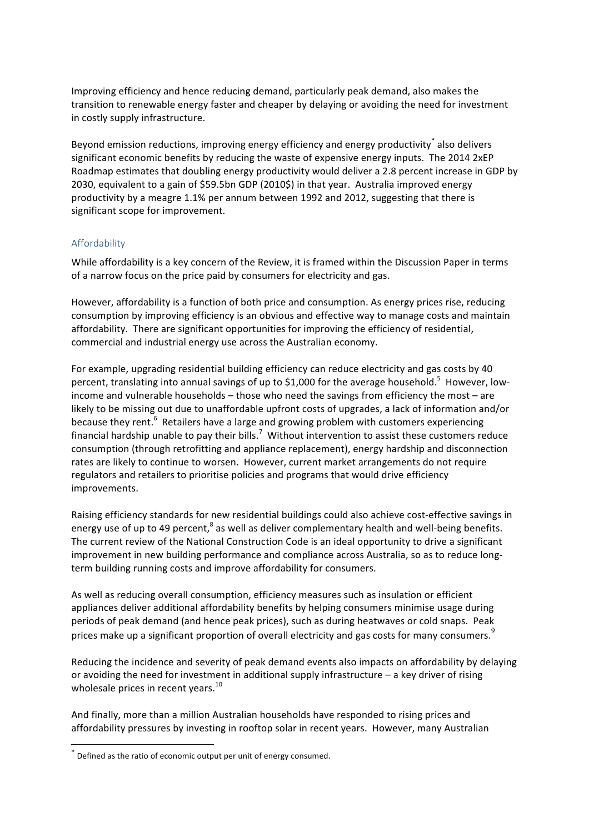Improving efficiency and hence reducing demand, particularly peak demand, also makes the transition to renewable energy faster and cheaper by delaying or avoiding the need for investment in costly supply infrastructure.

Beyond emission reductions, improving energy efficiency and energy productivity also delivers significant economic benefits by reducing the waste of expensive energy inputs. The 2014 2xEP Roadmap estimates that doubling energy productivity would deliver a 2.8 percent increase in GDP by 2030, equivalent to a gain of \$59.5bn GDP (2010\$) in that year. Australia improved energy productivity by a meagre 1.1% per annum between 1992 and 2012, suggesting that there is significant scope for improvement.

## Affordability

While affordability is a key concern of the Review, it is framed within the Discussion Paper in terms of a narrow focus on the price paid by consumers for electricity and gas.

However, affordability is a function of both price and consumption. As energy prices rise, reducing consumption by improving efficiency is an obvious and effective way to manage costs and maintain affordability. There are significant opportunities for improving the efficiency of residential, commercial and industrial energy use across the Australian economy.

For example, upgrading residential building efficiency can reduce electricity and gas costs by 40 percent, translating into annual savings of up to \$1,000 for the average household.<sup>5</sup> However, lowincome and vulnerable households  $-$  those who need the savings from efficiency the most  $-$  are likely to be missing out due to unaffordable upfront costs of upgrades, a lack of information and/or because they rent.<sup>6</sup> Retailers have a large and growing problem with customers experiencing financial hardship unable to pay their bills.<sup>7</sup> Without intervention to assist these customers reduce consumption (through retrofitting and appliance replacement), energy hardship and disconnection rates are likely to continue to worsen. However, current market arrangements do not require regulators and retailers to prioritise policies and programs that would drive efficiency improvements.

Raising efficiency standards for new residential buildings could also achieve cost-effective savings in energy use of up to 49 percent,<sup>8</sup> as well as deliver complementary health and well-being benefits. The current review of the National Construction Code is an ideal opportunity to drive a significant improvement in new building performance and compliance across Australia, so as to reduce longterm building running costs and improve affordability for consumers.

As well as reducing overall consumption, efficiency measures such as insulation or efficient appliances deliver additional affordability benefits by helping consumers minimise usage during periods of peak demand (and hence peak prices), such as during heatwaves or cold snaps. Peak prices make up a significant proportion of overall electricity and gas costs for many consumers.<sup>9</sup>

Reducing the incidence and severity of peak demand events also impacts on affordability by delaying or avoiding the need for investment in additional supply infrastructure  $-$  a key driver of rising wholesale prices in recent years.<sup>10</sup>

And finally, more than a million Australian households have responded to rising prices and affordability pressures by investing in rooftop solar in recent years. However, many Australian

 $^*$  Defined as the ratio of economic output per unit of energy consumed.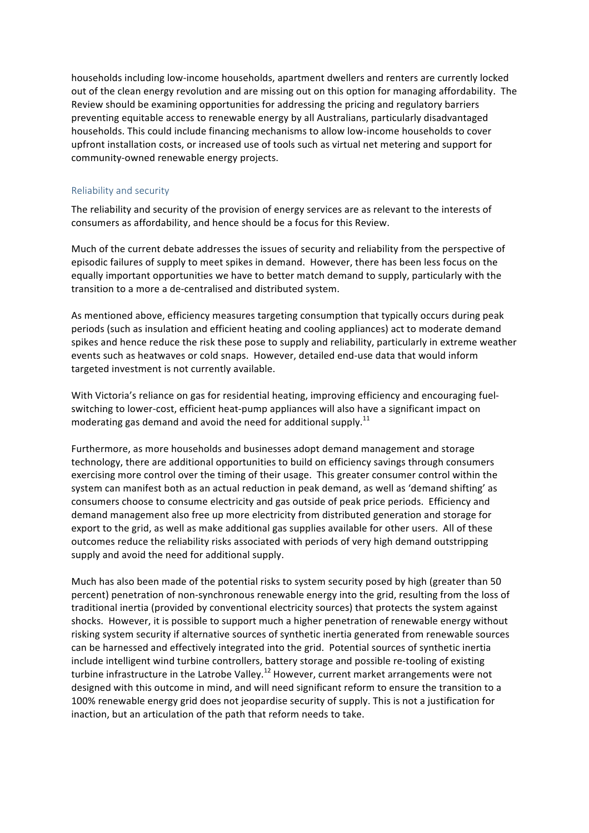households including low-income households, apartment dwellers and renters are currently locked out of the clean energy revolution and are missing out on this option for managing affordability. The Review should be examining opportunities for addressing the pricing and regulatory barriers preventing equitable access to renewable energy by all Australians, particularly disadvantaged households. This could include financing mechanisms to allow low-income households to cover upfront installation costs, or increased use of tools such as virtual net metering and support for community-owned renewable energy projects.

#### Reliability and security

The reliability and security of the provision of energy services are as relevant to the interests of consumers as affordability, and hence should be a focus for this Review.

Much of the current debate addresses the issues of security and reliability from the perspective of episodic failures of supply to meet spikes in demand. However, there has been less focus on the equally important opportunities we have to better match demand to supply, particularly with the transition to a more a de-centralised and distributed system.

As mentioned above, efficiency measures targeting consumption that typically occurs during peak periods (such as insulation and efficient heating and cooling appliances) act to moderate demand spikes and hence reduce the risk these pose to supply and reliability, particularly in extreme weather events such as heatwaves or cold snaps. However, detailed end-use data that would inform targeted investment is not currently available.

With Victoria's reliance on gas for residential heating, improving efficiency and encouraging fuelswitching to lower-cost, efficient heat-pump appliances will also have a significant impact on moderating gas demand and avoid the need for additional supply.<sup>11</sup>

Furthermore, as more households and businesses adopt demand management and storage technology, there are additional opportunities to build on efficiency savings through consumers exercising more control over the timing of their usage. This greater consumer control within the system can manifest both as an actual reduction in peak demand, as well as 'demand shifting' as consumers choose to consume electricity and gas outside of peak price periods. Efficiency and demand management also free up more electricity from distributed generation and storage for export to the grid, as well as make additional gas supplies available for other users. All of these outcomes reduce the reliability risks associated with periods of very high demand outstripping supply and avoid the need for additional supply.

Much has also been made of the potential risks to system security posed by high (greater than 50 percent) penetration of non-synchronous renewable energy into the grid, resulting from the loss of traditional inertia (provided by conventional electricity sources) that protects the system against shocks. However, it is possible to support much a higher penetration of renewable energy without risking system security if alternative sources of synthetic inertia generated from renewable sources can be harnessed and effectively integrated into the grid. Potential sources of synthetic inertia include intelligent wind turbine controllers, battery storage and possible re-tooling of existing turbine infrastructure in the Latrobe Valley.<sup>12</sup> However, current market arrangements were not designed with this outcome in mind, and will need significant reform to ensure the transition to a 100% renewable energy grid does not jeopardise security of supply. This is not a justification for inaction, but an articulation of the path that reform needs to take.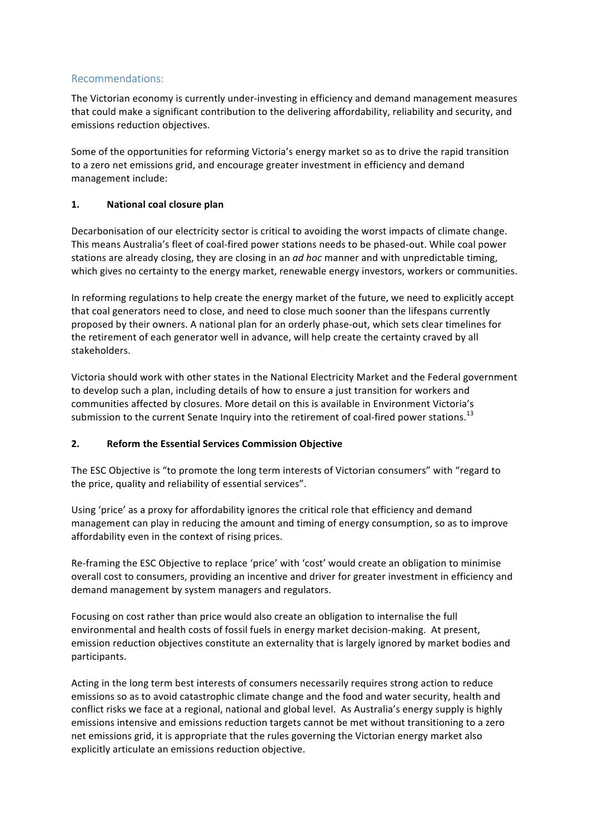# Recommendations:

The Victorian economy is currently under-investing in efficiency and demand management measures that could make a significant contribution to the delivering affordability, reliability and security, and emissions reduction objectives.

Some of the opportunities for reforming Victoria's energy market so as to drive the rapid transition to a zero net emissions grid, and encourage greater investment in efficiency and demand management include:

## **1. National coal closure plan**

Decarbonisation of our electricity sector is critical to avoiding the worst impacts of climate change. This means Australia's fleet of coal-fired power stations needs to be phased-out. While coal power stations are already closing, they are closing in an *ad hoc* manner and with unpredictable timing, which gives no certainty to the energy market, renewable energy investors, workers or communities.

In reforming regulations to help create the energy market of the future, we need to explicitly accept that coal generators need to close, and need to close much sooner than the lifespans currently proposed by their owners. A national plan for an orderly phase-out, which sets clear timelines for the retirement of each generator well in advance, will help create the certainty craved by all stakeholders.

Victoria should work with other states in the National Electricity Market and the Federal government to develop such a plan, including details of how to ensure a just transition for workers and communities affected by closures. More detail on this is available in Environment Victoria's submission to the current Senate Inquiry into the retirement of coal-fired power stations.<sup>13</sup>

## **2.** Reform the Essential Services Commission Objective

The ESC Objective is "to promote the long term interests of Victorian consumers" with "regard to the price, quality and reliability of essential services".

Using 'price' as a proxy for affordability ignores the critical role that efficiency and demand management can play in reducing the amount and timing of energy consumption, so as to improve affordability even in the context of rising prices.

Re-framing the ESC Objective to replace 'price' with 'cost' would create an obligation to minimise overall cost to consumers, providing an incentive and driver for greater investment in efficiency and demand management by system managers and regulators.

Focusing on cost rather than price would also create an obligation to internalise the full environmental and health costs of fossil fuels in energy market decision-making. At present, emission reduction objectives constitute an externality that is largely ignored by market bodies and participants. 

Acting in the long term best interests of consumers necessarily requires strong action to reduce emissions so as to avoid catastrophic climate change and the food and water security, health and conflict risks we face at a regional, national and global level. As Australia's energy supply is highly emissions intensive and emissions reduction targets cannot be met without transitioning to a zero net emissions grid, it is appropriate that the rules governing the Victorian energy market also explicitly articulate an emissions reduction objective.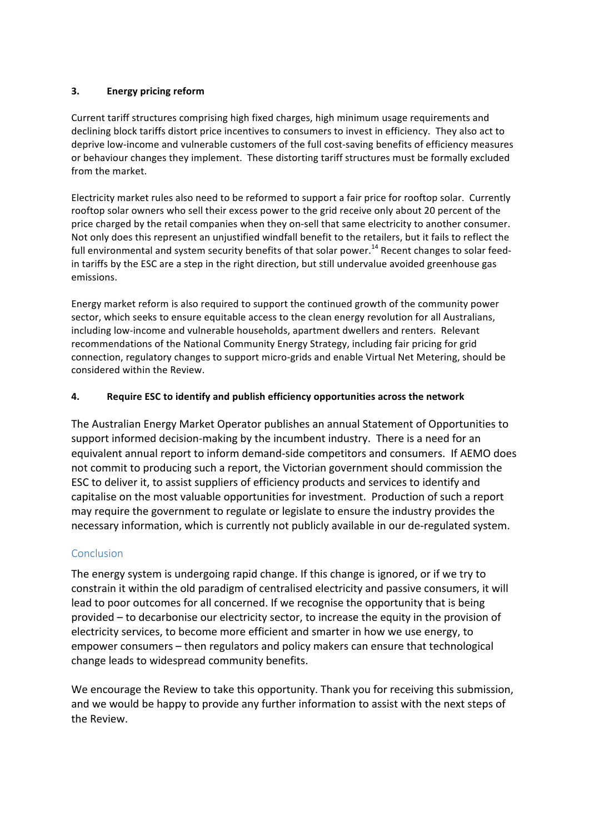## **3. Energy pricing reform**

Current tariff structures comprising high fixed charges, high minimum usage requirements and declining block tariffs distort price incentives to consumers to invest in efficiency. They also act to deprive low-income and vulnerable customers of the full cost-saving benefits of efficiency measures or behaviour changes they implement. These distorting tariff structures must be formally excluded from the market.

Electricity market rules also need to be reformed to support a fair price for rooftop solar. Currently rooftop solar owners who sell their excess power to the grid receive only about 20 percent of the price charged by the retail companies when they on-sell that same electricity to another consumer. Not only does this represent an unjustified windfall benefit to the retailers, but it fails to reflect the full environmental and system security benefits of that solar power.<sup>14</sup> Recent changes to solar feedin tariffs by the ESC are a step in the right direction, but still undervalue avoided greenhouse gas emissions.

Energy market reform is also required to support the continued growth of the community power sector, which seeks to ensure equitable access to the clean energy revolution for all Australians, including low-income and vulnerable households, apartment dwellers and renters. Relevant recommendations of the National Community Energy Strategy, including fair pricing for grid connection, regulatory changes to support micro-grids and enable Virtual Net Metering, should be considered within the Review.

# **4. Require ESC to identify and publish efficiency opportunities across the network**

The Australian Energy Market Operator publishes an annual Statement of Opportunities to support informed decision-making by the incumbent industry. There is a need for an equivalent annual report to inform demand-side competitors and consumers. If AEMO does not commit to producing such a report, the Victorian government should commission the ESC to deliver it, to assist suppliers of efficiency products and services to identify and capitalise on the most valuable opportunities for investment. Production of such a report may require the government to regulate or legislate to ensure the industry provides the necessary information, which is currently not publicly available in our de-regulated system.

# **Conclusion**

The energy system is undergoing rapid change. If this change is ignored, or if we try to constrain it within the old paradigm of centralised electricity and passive consumers, it will lead to poor outcomes for all concerned. If we recognise the opportunity that is being provided – to decarbonise our electricity sector, to increase the equity in the provision of electricity services, to become more efficient and smarter in how we use energy, to empower consumers – then regulators and policy makers can ensure that technological change leads to widespread community benefits.

We encourage the Review to take this opportunity. Thank you for receiving this submission, and we would be happy to provide any further information to assist with the next steps of the Review.